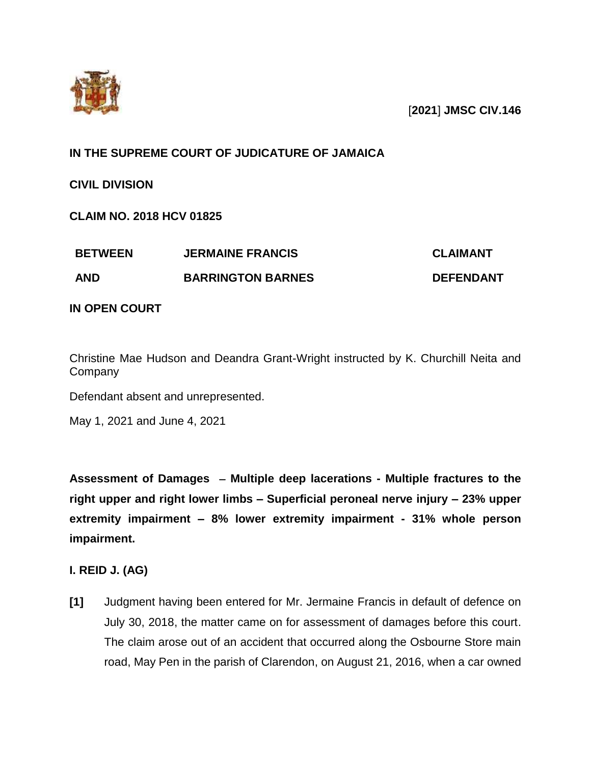

### [**2021**] **JMSC CIV.146**

# **IN THE SUPREME COURT OF JUDICATURE OF JAMAICA**

**CIVIL DIVISION**

**CLAIM NO. 2018 HCV 01825**

| <b>BETWEEN</b> | <b>JERMAINE FRANCIS</b>  | <b>CLAIMANT</b>  |
|----------------|--------------------------|------------------|
| <b>AND</b>     | <b>BARRINGTON BARNES</b> | <b>DEFENDANT</b> |

### **IN OPEN COURT**

Christine Mae Hudson and Deandra Grant-Wright instructed by K. Churchill Neita and **Company** 

Defendant absent and unrepresented.

May 1, 2021 and June 4, 2021

**Assessment of Damages Multiple deep lacerations - Multiple fractures to the right upper and right lower limbs – Superficial peroneal nerve injury – 23% upper extremity impairment – 8% lower extremity impairment - 31% whole person impairment.**

# **I. REID J. (AG)**

**[1]** Judgment having been entered for Mr. Jermaine Francis in default of defence on July 30, 2018, the matter came on for assessment of damages before this court. The claim arose out of an accident that occurred along the Osbourne Store main road, May Pen in the parish of Clarendon, on August 21, 2016, when a car owned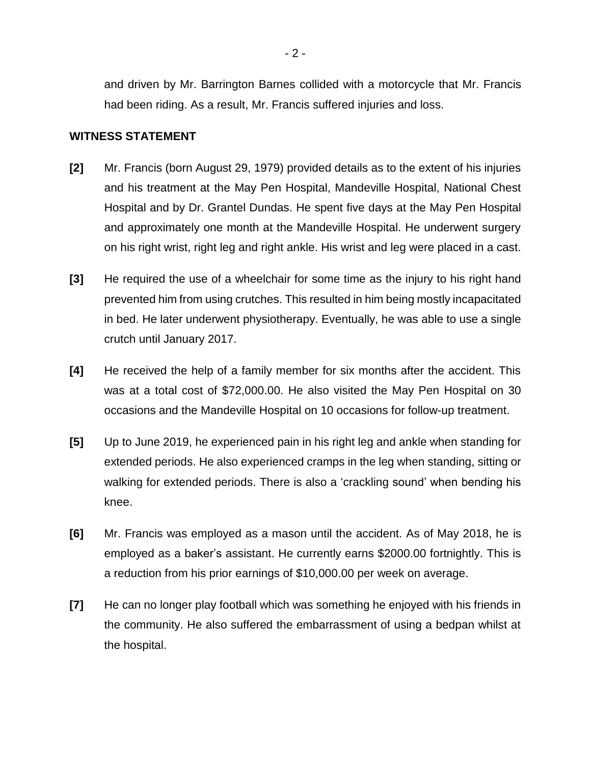and driven by Mr. Barrington Barnes collided with a motorcycle that Mr. Francis had been riding. As a result, Mr. Francis suffered injuries and loss.

#### **WITNESS STATEMENT**

- **[2]** Mr. Francis (born August 29, 1979) provided details as to the extent of his injuries and his treatment at the May Pen Hospital, Mandeville Hospital, National Chest Hospital and by Dr. Grantel Dundas. He spent five days at the May Pen Hospital and approximately one month at the Mandeville Hospital. He underwent surgery on his right wrist, right leg and right ankle. His wrist and leg were placed in a cast.
- **[3]** He required the use of a wheelchair for some time as the injury to his right hand prevented him from using crutches. This resulted in him being mostly incapacitated in bed. He later underwent physiotherapy. Eventually, he was able to use a single crutch until January 2017.
- **[4]** He received the help of a family member for six months after the accident. This was at a total cost of \$72,000.00. He also visited the May Pen Hospital on 30 occasions and the Mandeville Hospital on 10 occasions for follow-up treatment.
- **[5]** Up to June 2019, he experienced pain in his right leg and ankle when standing for extended periods. He also experienced cramps in the leg when standing, sitting or walking for extended periods. There is also a 'crackling sound' when bending his knee.
- **[6]** Mr. Francis was employed as a mason until the accident. As of May 2018, he is employed as a baker's assistant. He currently earns \$2000.00 fortnightly. This is a reduction from his prior earnings of \$10,000.00 per week on average.
- **[7]** He can no longer play football which was something he enjoyed with his friends in the community. He also suffered the embarrassment of using a bedpan whilst at the hospital.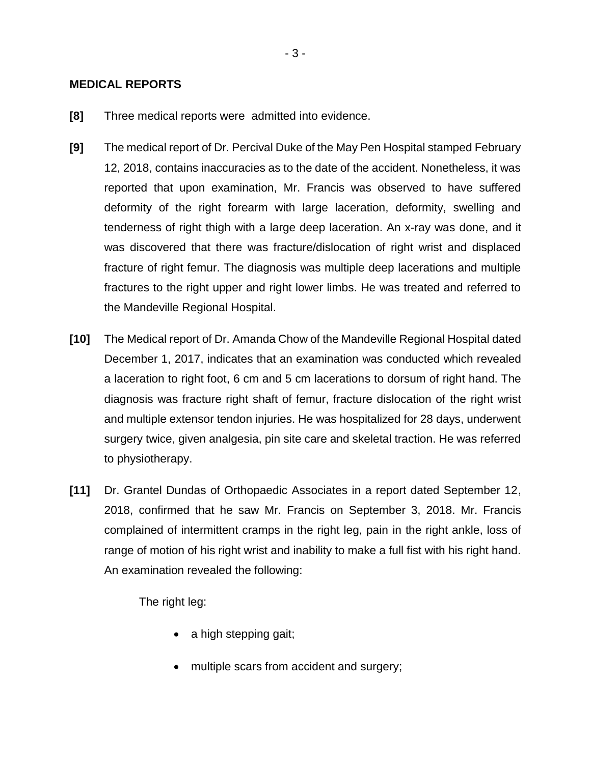#### **MEDICAL REPORTS**

- **[8]** Three medical reports were admitted into evidence.
- **[9]** The medical report of Dr. Percival Duke of the May Pen Hospital stamped February 12, 2018, contains inaccuracies as to the date of the accident. Nonetheless, it was reported that upon examination, Mr. Francis was observed to have suffered deformity of the right forearm with large laceration, deformity, swelling and tenderness of right thigh with a large deep laceration. An x-ray was done, and it was discovered that there was fracture/dislocation of right wrist and displaced fracture of right femur. The diagnosis was multiple deep lacerations and multiple fractures to the right upper and right lower limbs. He was treated and referred to the Mandeville Regional Hospital.
- **[10]** The Medical report of Dr. Amanda Chow of the Mandeville Regional Hospital dated December 1, 2017, indicates that an examination was conducted which revealed a laceration to right foot, 6 cm and 5 cm lacerations to dorsum of right hand. The diagnosis was fracture right shaft of femur, fracture dislocation of the right wrist and multiple extensor tendon injuries. He was hospitalized for 28 days, underwent surgery twice, given analgesia, pin site care and skeletal traction. He was referred to physiotherapy.
- **[11]** Dr. Grantel Dundas of Orthopaedic Associates in a report dated September 12, 2018, confirmed that he saw Mr. Francis on September 3, 2018. Mr. Francis complained of intermittent cramps in the right leg, pain in the right ankle, loss of range of motion of his right wrist and inability to make a full fist with his right hand. An examination revealed the following:

The right leg:

- a high stepping gait;
- multiple scars from accident and surgery;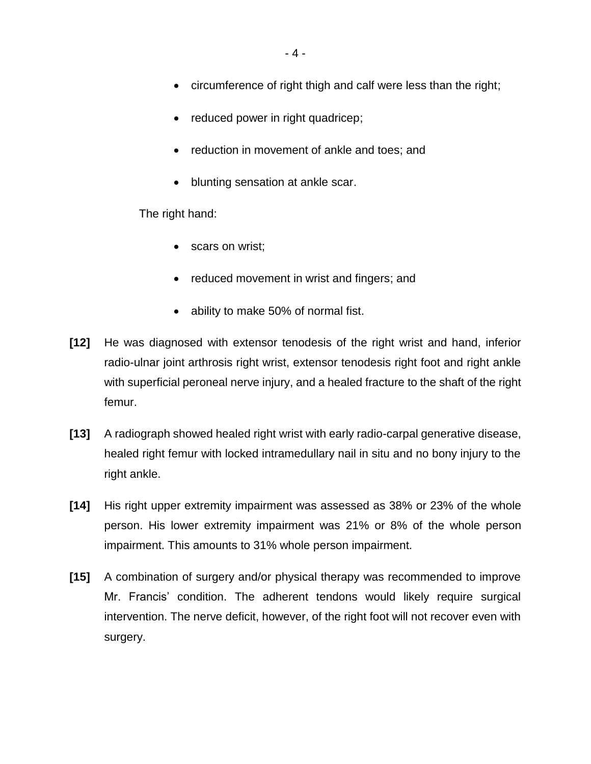- circumference of right thigh and calf were less than the right;
- reduced power in right quadricep;
- reduction in movement of ankle and toes; and
- blunting sensation at ankle scar.

The right hand:

- scars on wrist;
- reduced movement in wrist and fingers; and
- ability to make 50% of normal fist.
- **[12]** He was diagnosed with extensor tenodesis of the right wrist and hand, inferior radio-ulnar joint arthrosis right wrist, extensor tenodesis right foot and right ankle with superficial peroneal nerve injury, and a healed fracture to the shaft of the right femur.
- **[13]** A radiograph showed healed right wrist with early radio-carpal generative disease, healed right femur with locked intramedullary nail in situ and no bony injury to the right ankle.
- **[14]** His right upper extremity impairment was assessed as 38% or 23% of the whole person. His lower extremity impairment was 21% or 8% of the whole person impairment. This amounts to 31% whole person impairment.
- **[15]** A combination of surgery and/or physical therapy was recommended to improve Mr. Francis' condition. The adherent tendons would likely require surgical intervention. The nerve deficit, however, of the right foot will not recover even with surgery.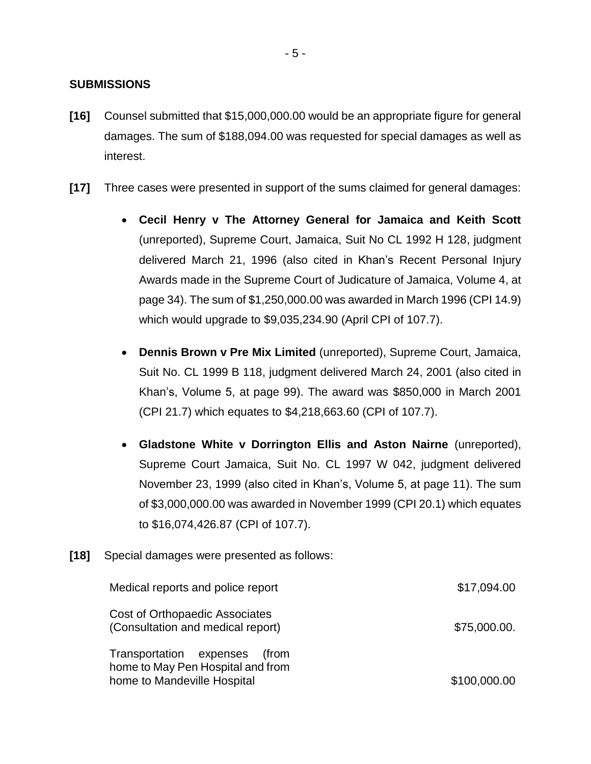### **SUBMISSIONS**

- **[16]** Counsel submitted that \$15,000,000.00 would be an appropriate figure for general damages. The sum of \$188,094.00 was requested for special damages as well as interest.
- **[17]** Three cases were presented in support of the sums claimed for general damages:
	- **Cecil Henry v The Attorney General for Jamaica and Keith Scott**  (unreported), Supreme Court, Jamaica, Suit No CL 1992 H 128, judgment delivered March 21, 1996 (also cited in Khan's Recent Personal Injury Awards made in the Supreme Court of Judicature of Jamaica, Volume 4, at page 34). The sum of \$1,250,000.00 was awarded in March 1996 (CPI 14.9) which would upgrade to \$9,035,234.90 (April CPI of 107.7).
	- **Dennis Brown v Pre Mix Limited** (unreported), Supreme Court, Jamaica, Suit No. CL 1999 B 118, judgment delivered March 24, 2001 (also cited in Khan's, Volume 5, at page 99). The award was \$850,000 in March 2001 (CPI 21.7) which equates to \$4,218,663.60 (CPI of 107.7).
	- **Gladstone White v Dorrington Ellis and Aston Nairne** (unreported), Supreme Court Jamaica, Suit No. CL 1997 W 042, judgment delivered November 23, 1999 (also cited in Khan's, Volume 5, at page 11). The sum of \$3,000,000.00 was awarded in November 1999 (CPI 20.1) which equates to \$16,074,426.87 (CPI of 107.7).
- **[18]** Special damages were presented as follows:

| Medical reports and police report                                                                    | \$17,094.00  |
|------------------------------------------------------------------------------------------------------|--------------|
| Cost of Orthopaedic Associates<br>(Consultation and medical report)                                  | \$75,000.00. |
| Transportation expenses<br>(from<br>home to May Pen Hospital and from<br>home to Mandeville Hospital | \$100,000.00 |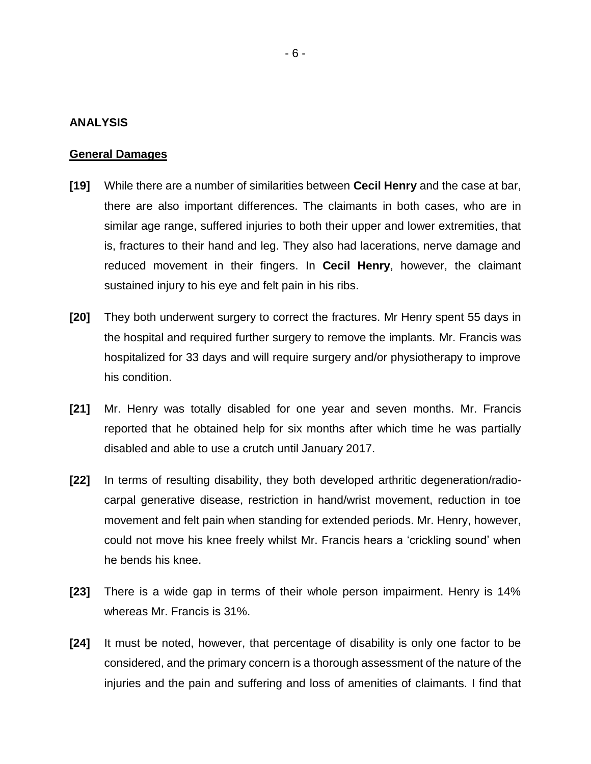#### **ANALYSIS**

#### **General Damages**

- **[19]** While there are a number of similarities between **Cecil Henry** and the case at bar, there are also important differences. The claimants in both cases, who are in similar age range, suffered injuries to both their upper and lower extremities, that is, fractures to their hand and leg. They also had lacerations, nerve damage and reduced movement in their fingers. In **Cecil Henry**, however, the claimant sustained injury to his eye and felt pain in his ribs.
- **[20]** They both underwent surgery to correct the fractures. Mr Henry spent 55 days in the hospital and required further surgery to remove the implants. Mr. Francis was hospitalized for 33 days and will require surgery and/or physiotherapy to improve his condition.
- **[21]** Mr. Henry was totally disabled for one year and seven months. Mr. Francis reported that he obtained help for six months after which time he was partially disabled and able to use a crutch until January 2017.
- **[22]** In terms of resulting disability, they both developed arthritic degeneration/radiocarpal generative disease, restriction in hand/wrist movement, reduction in toe movement and felt pain when standing for extended periods. Mr. Henry, however, could not move his knee freely whilst Mr. Francis hears a 'crickling sound' when he bends his knee.
- **[23]** There is a wide gap in terms of their whole person impairment. Henry is 14% whereas Mr. Francis is 31%.
- **[24]** It must be noted, however, that percentage of disability is only one factor to be considered, and the primary concern is a thorough assessment of the nature of the injuries and the pain and suffering and loss of amenities of claimants. I find that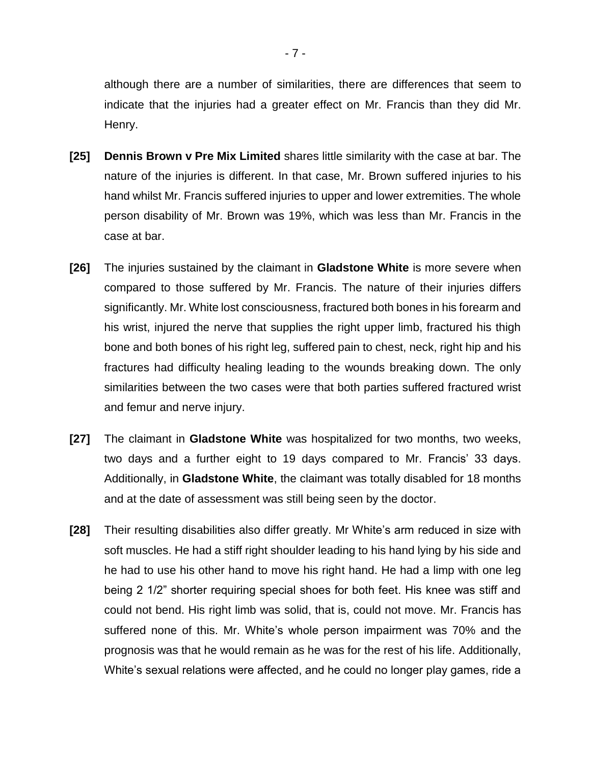although there are a number of similarities, there are differences that seem to indicate that the injuries had a greater effect on Mr. Francis than they did Mr. Henry.

- **[25] Dennis Brown v Pre Mix Limited** shares little similarity with the case at bar. The nature of the injuries is different. In that case, Mr. Brown suffered injuries to his hand whilst Mr. Francis suffered injuries to upper and lower extremities. The whole person disability of Mr. Brown was 19%, which was less than Mr. Francis in the case at bar.
- **[26]** The injuries sustained by the claimant in **Gladstone White** is more severe when compared to those suffered by Mr. Francis. The nature of their injuries differs significantly. Mr. White lost consciousness, fractured both bones in his forearm and his wrist, injured the nerve that supplies the right upper limb, fractured his thigh bone and both bones of his right leg, suffered pain to chest, neck, right hip and his fractures had difficulty healing leading to the wounds breaking down. The only similarities between the two cases were that both parties suffered fractured wrist and femur and nerve injury.
- **[27]** The claimant in **Gladstone White** was hospitalized for two months, two weeks, two days and a further eight to 19 days compared to Mr. Francis' 33 days. Additionally, in **Gladstone White**, the claimant was totally disabled for 18 months and at the date of assessment was still being seen by the doctor.
- **[28]** Their resulting disabilities also differ greatly. Mr White's arm reduced in size with soft muscles. He had a stiff right shoulder leading to his hand lying by his side and he had to use his other hand to move his right hand. He had a limp with one leg being 2 1/2" shorter requiring special shoes for both feet. His knee was stiff and could not bend. His right limb was solid, that is, could not move. Mr. Francis has suffered none of this. Mr. White's whole person impairment was 70% and the prognosis was that he would remain as he was for the rest of his life. Additionally, White's sexual relations were affected, and he could no longer play games, ride a